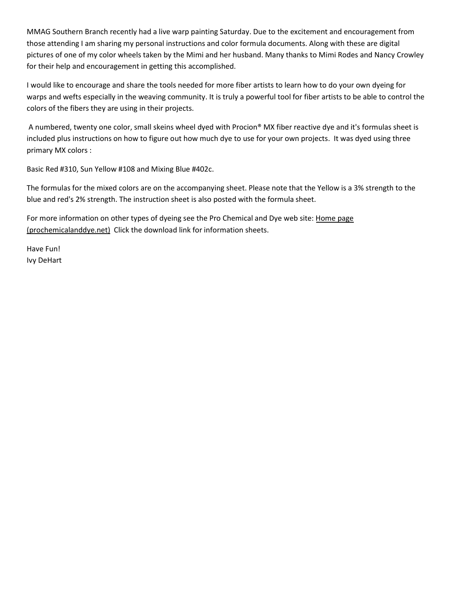MMAG Southern Branch recently had a live warp painting Saturday. Due to the excitement and encouragement from those attending I am sharing my personal instructions and color formula documents. Along with these are digital pictures of one of my color wheels taken by the Mimi and her husband. Many thanks to Mimi Rodes and Nancy Crowley for their help and encouragement in getting this accomplished.

I would like to encourage and share the tools needed for more fiber artists to learn how to do your own dyeing for warps and wefts especially in the weaving community. It is truly a powerful tool for fiber artists to be able to control the colors of the fibers they are using in their projects.

 A numbered, twenty one color, small skeins wheel dyed with Procion® MX fiber reactive dye and it's formulas sheet is included plus instructions on how to figure out how much dye to use for your own projects. It was dyed using three primary MX colors :

Basic Red #310, Sun Yellow #108 and Mixing Blue #402c.

The formulas for the mixed colors are on the accompanying sheet. Please note that the Yellow is a 3% strength to the blue and red's 2% strength. The instruction sheet is also posted with the formula sheet.

For more information on other types of dyeing see the Pro Chemical and Dye web site: Home page (prochemicalanddye.net) Click the download link for information sheets.

Have Fun! Ivy DeHart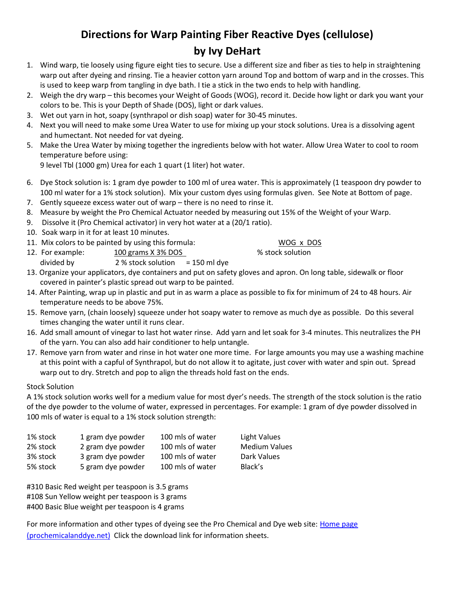# Directions for Warp Painting Fiber Reactive Dyes (cellulose) by Ivy DeHart

- 1. Wind warp, tie loosely using figure eight ties to secure. Use a different size and fiber as ties to help in straightening warp out after dyeing and rinsing. Tie a heavier cotton yarn around Top and bottom of warp and in the crosses. This is used to keep warp from tangling in dye bath. I tie a stick in the two ends to help with handling.
- 2. Weigh the dry warp this becomes your Weight of Goods (WOG), record it. Decide how light or dark you want your colors to be. This is your Depth of Shade (DOS), light or dark values.
- 3. Wet out yarn in hot, soapy (synthrapol or dish soap) water for 30-45 minutes.
- 4. Next you will need to make some Urea Water to use for mixing up your stock solutions. Urea is a dissolving agent and humectant. Not needed for vat dyeing.
- 5. Make the Urea Water by mixing together the ingredients below with hot water. Allow Urea Water to cool to room temperature before using:

9 level Tbl (1000 gm) Urea for each 1 quart (1 liter) hot water.

- 6. Dye Stock solution is: 1 gram dye powder to 100 ml of urea water. This is approximately (1 teaspoon dry powder to 100 ml water for a 1% stock solution). Mix your custom dyes using formulas given. See Note at Bottom of page.
- 7. Gently squeeze excess water out of warp there is no need to rinse it.
- 8. Measure by weight the Pro Chemical Actuator needed by measuring out 15% of the Weight of your Warp.
- 9. Dissolve it (Pro Chemical activator) in very hot water at a (20/1 ratio).
- 10. Soak warp in it for at least 10 minutes.
- 11. Mix colors to be painted by using this formula: WOG x DOS
- 12. For example: 100 grams X 3% DOS 6 % stock solution divided by  $2\%$  stock solution = 150 ml dye

- 13. Organize your applicators, dye containers and put on safety gloves and apron. On long table, sidewalk or floor covered in painter's plastic spread out warp to be painted.
- 14. After Painting, wrap up in plastic and put in as warm a place as possible to fix for minimum of 24 to 48 hours. Air temperature needs to be above 75%.
- 15. Remove yarn, (chain loosely) squeeze under hot soapy water to remove as much dye as possible. Do this several times changing the water until it runs clear.
- 16. Add small amount of vinegar to last hot water rinse. Add yarn and let soak for 3-4 minutes. This neutralizes the PH of the yarn. You can also add hair conditioner to help untangle.
- 17. Remove yarn from water and rinse in hot water one more time. For large amounts you may use a washing machine at this point with a capful of Synthrapol, but do not allow it to agitate, just cover with water and spin out. Spread warp out to dry. Stretch and pop to align the threads hold fast on the ends.

#### Stock Solution

A 1% stock solution works well for a medium value for most dyer's needs. The strength of the stock solution is the ratio of the dye powder to the volume of water, expressed in percentages. For example: 1 gram of dye powder dissolved in 100 mls of water is equal to a 1% stock solution strength:

| 1% stock | 1 gram dye powder | 100 mls of water | Light Values         |
|----------|-------------------|------------------|----------------------|
| 2% stock | 2 gram dye powder | 100 mls of water | <b>Medium Values</b> |
| 3% stock | 3 gram dye powder | 100 mls of water | Dark Values          |
| 5% stock | 5 gram dye powder | 100 mls of water | Black's              |

#310 Basic Red weight per teaspoon is 3.5 grams #108 Sun Yellow weight per teaspoon is 3 grams #400 Basic Blue weight per teaspoon is 4 grams

For more information and other types of dyeing see the Pro Chemical and Dye web site: Home page (prochemicalanddye.net) Click the download link for information sheets.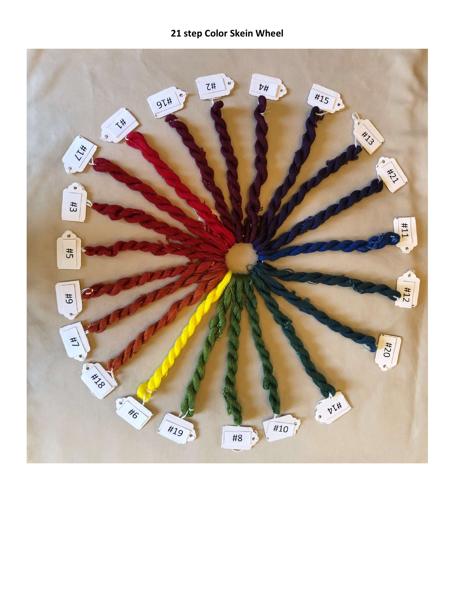## 21 step Color Skein Wheel

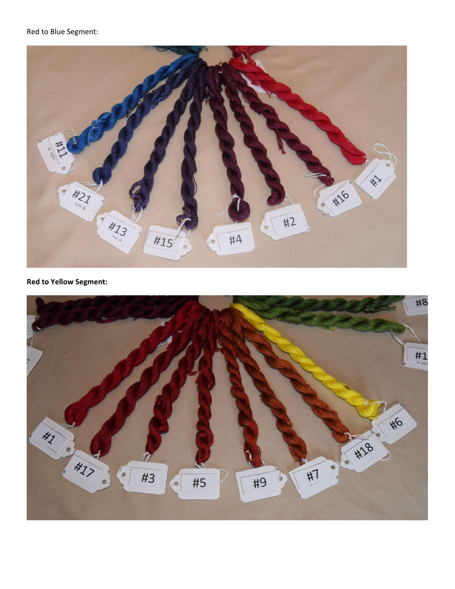### Red to Blue Segment:



### Red to Yellow Segment:

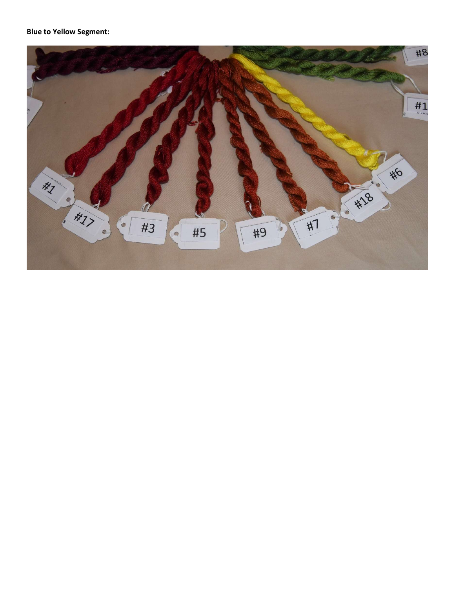